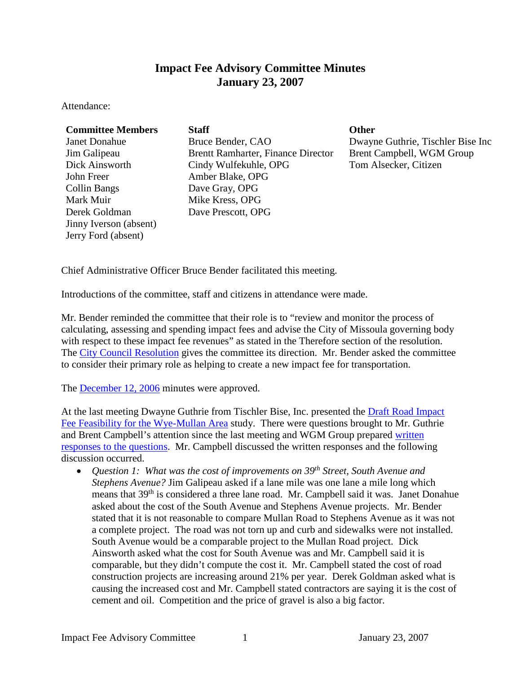## **Impact Fee Advisory Committee Minutes January 23, 2007**

Attendance:

| <b>Committee Members</b> | <b>Staff</b>                              | <b>Other</b> |
|--------------------------|-------------------------------------------|--------------|
| <b>Janet Donahue</b>     | Bruce Bender, CAO                         | Dway         |
| Jim Galipeau             | <b>Brentt Ramharter, Finance Director</b> | Brent        |
| Dick Ainsworth           | Cindy Wulfekuhle, OPG                     | Tom $A$      |
| John Freer               | Amber Blake, OPG                          |              |
| <b>Collin Bangs</b>      | Dave Gray, OPG                            |              |
| Mark Muir                | Mike Kress, OPG                           |              |
| Derek Goldman            | Dave Prescott, OPG                        |              |
| Jinny Iverson (absent)   |                                           |              |
| Jerry Ford (absent)      |                                           |              |

## Bruce Bender, CAO Dwayne Guthrie, Tischler Bise Inc Brentt Ramharter, Finance Director Brent Campbell, WGM Group Cindy Wulfekuhle, OPG Tom Alsecker, Citizen Amber Blake, OPG Dave Gray, OPG Mike Kress, OPG Dave Prescott, OPG

Chief Administrative Officer Bruce Bender facilitated this meeting.

Introductions of the committee, staff and citizens in attendance were made.

Mr. Bender reminded the committee that their role is to "review and monitor the process of calculating, assessing and spending impact fees and advise the City of Missoula governing body with respect to these impact fee revenues" as stated in the Therefore section of the resolution. The [City Council Resolution](ftp://www.ci.missoula.mt.us/Documents/Mayor/IFAC/2007/Resolution7172.pdf) gives the committee its direction. Mr. Bender asked the committee to consider their primary role as helping to create a new impact fee for transportation.

The [December](ftp://www.ci.missoula.mt.us/Documents/Mayor/IFAC/061214Minutes.pdf) 12, 2006 minutes were approved.

At the last meeting Dwayne Guthrie from Tischler Bise, Inc. presented the **Draft Road Impact** [Fee Feasibility for the Wye-Mullan Area](ftp://www.ci.missoula.mt.us/Documents/Mayor/IFAC/061212FeasibilityDraft.pdf) study. There were questions brought to Mr. Guthrie and Brent Campbell's attention since the last meeting and WGM Group prepared [written](ftp://www.ci.missoula.mt.us/Documents/Mayor/IFAC/2007/070116QandAFeasibilityStudy.pdf)  [responses to the questions.](ftp://www.ci.missoula.mt.us/Documents/Mayor/IFAC/2007/070116QandAFeasibilityStudy.pdf) Mr. Campbell discussed the written responses and the following discussion occurred.

• *Question 1: What was the cost of improvements on 39th Street, South Avenue and Stephens Avenue?* Jim Galipeau asked if a lane mile was one lane a mile long which means that 39th is considered a three lane road. Mr. Campbell said it was. Janet Donahue asked about the cost of the South Avenue and Stephens Avenue projects. Mr. Bender stated that it is not reasonable to compare Mullan Road to Stephens Avenue as it was not a complete project. The road was not torn up and curb and sidewalks were not installed. South Avenue would be a comparable project to the Mullan Road project. Dick Ainsworth asked what the cost for South Avenue was and Mr. Campbell said it is comparable, but they didn't compute the cost it. Mr. Campbell stated the cost of road construction projects are increasing around 21% per year. Derek Goldman asked what is causing the increased cost and Mr. Campbell stated contractors are saying it is the cost of cement and oil. Competition and the price of gravel is also a big factor.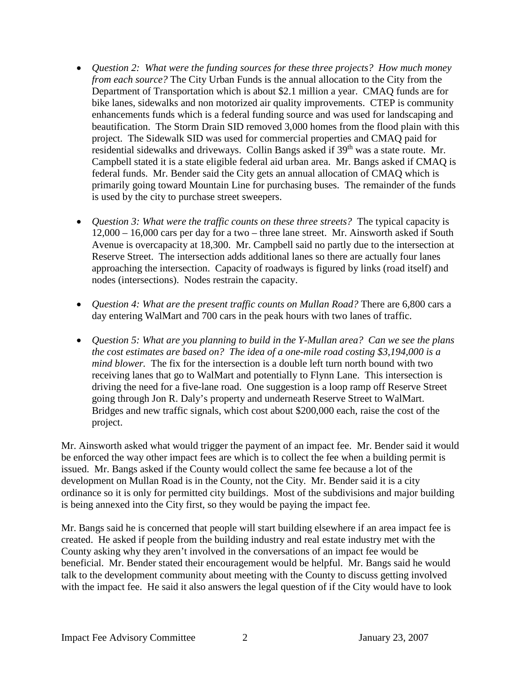- *Question 2: What were the funding sources for these three projects? How much money from each source?* The City Urban Funds is the annual allocation to the City from the Department of Transportation which is about \$2.1 million a year. CMAQ funds are for bike lanes, sidewalks and non motorized air quality improvements. CTEP is community enhancements funds which is a federal funding source and was used for landscaping and beautification. The Storm Drain SID removed 3,000 homes from the flood plain with this project. The Sidewalk SID was used for commercial properties and CMAQ paid for residential sidewalks and driveways. Collin Bangs asked if  $39<sup>th</sup>$  was a state route. Mr. Campbell stated it is a state eligible federal aid urban area. Mr. Bangs asked if CMAQ is federal funds. Mr. Bender said the City gets an annual allocation of CMAQ which is primarily going toward Mountain Line for purchasing buses. The remainder of the funds is used by the city to purchase street sweepers.
- *Question 3: What were the traffic counts on these three streets?* The typical capacity is 12,000 – 16,000 cars per day for a two – three lane street. Mr. Ainsworth asked if South Avenue is overcapacity at 18,300. Mr. Campbell said no partly due to the intersection at Reserve Street. The intersection adds additional lanes so there are actually four lanes approaching the intersection. Capacity of roadways is figured by links (road itself) and nodes (intersections). Nodes restrain the capacity.
- *Question 4: What are the present traffic counts on Mullan Road?* There are 6,800 cars a day entering WalMart and 700 cars in the peak hours with two lanes of traffic.
- *Question 5: What are you planning to build in the Y-Mullan area? Can we see the plans the cost estimates are based on? The idea of a one-mile road costing \$3,194,000 is a mind blower.* The fix for the intersection is a double left turn north bound with two receiving lanes that go to WalMart and potentially to Flynn Lane. This intersection is driving the need for a five-lane road. One suggestion is a loop ramp off Reserve Street going through Jon R. Daly's property and underneath Reserve Street to WalMart. Bridges and new traffic signals, which cost about \$200,000 each, raise the cost of the project.

Mr. Ainsworth asked what would trigger the payment of an impact fee. Mr. Bender said it would be enforced the way other impact fees are which is to collect the fee when a building permit is issued. Mr. Bangs asked if the County would collect the same fee because a lot of the development on Mullan Road is in the County, not the City. Mr. Bender said it is a city ordinance so it is only for permitted city buildings. Most of the subdivisions and major building is being annexed into the City first, so they would be paying the impact fee.

Mr. Bangs said he is concerned that people will start building elsewhere if an area impact fee is created. He asked if people from the building industry and real estate industry met with the County asking why they aren't involved in the conversations of an impact fee would be beneficial. Mr. Bender stated their encouragement would be helpful. Mr. Bangs said he would talk to the development community about meeting with the County to discuss getting involved with the impact fee. He said it also answers the legal question of if the City would have to look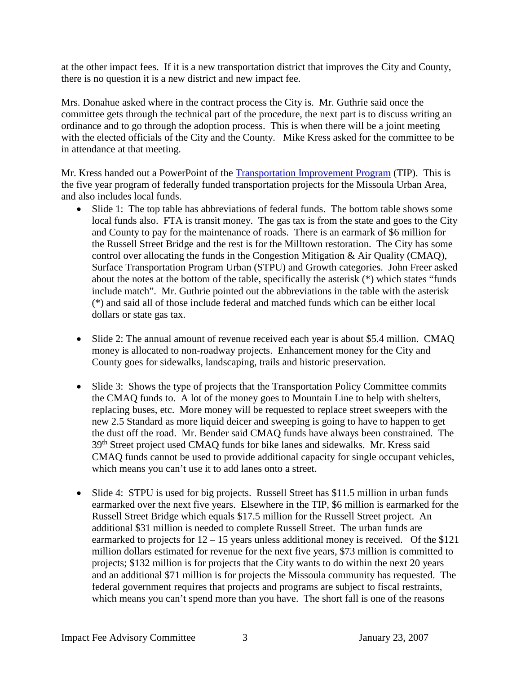at the other impact fees. If it is a new transportation district that improves the City and County, there is no question it is a new district and new impact fee.

Mrs. Donahue asked where in the contract process the City is. Mr. Guthrie said once the committee gets through the technical part of the procedure, the next part is to discuss writing an ordinance and to go through the adoption process. This is when there will be a joint meeting with the elected officials of the City and the County. Mike Kress asked for the committee to be in attendance at that meeting.

Mr. Kress handed out a PowerPoint of the [Transportation Improvement Program](ftp://www.ci.missoula.mt.us/Documents/Mayor/IFAC/2007/TIP070123.pdf) (TIP). This is the five year program of federally funded transportation projects for the Missoula Urban Area, and also includes local funds.

- Slide 1: The top table has abbreviations of federal funds. The bottom table shows some local funds also. FTA is transit money. The gas tax is from the state and goes to the City and County to pay for the maintenance of roads. There is an earmark of \$6 million for the Russell Street Bridge and the rest is for the Milltown restoration. The City has some control over allocating the funds in the Congestion Mitigation & Air Quality (CMAQ), Surface Transportation Program Urban (STPU) and Growth categories. John Freer asked about the notes at the bottom of the table, specifically the asterisk (\*) which states "funds include match". Mr. Guthrie pointed out the abbreviations in the table with the asterisk (\*) and said all of those include federal and matched funds which can be either local dollars or state gas tax.
- Slide 2: The annual amount of revenue received each year is about \$5.4 million. CMAQ money is allocated to non-roadway projects. Enhancement money for the City and County goes for sidewalks, landscaping, trails and historic preservation.
- Slide 3: Shows the type of projects that the Transportation Policy Committee commits the CMAQ funds to. A lot of the money goes to Mountain Line to help with shelters, replacing buses, etc. More money will be requested to replace street sweepers with the new 2.5 Standard as more liquid deicer and sweeping is going to have to happen to get the dust off the road. Mr. Bender said CMAQ funds have always been constrained. The 39th Street project used CMAQ funds for bike lanes and sidewalks. Mr. Kress said CMAQ funds cannot be used to provide additional capacity for single occupant vehicles, which means you can't use it to add lanes onto a street.
- Slide 4: STPU is used for big projects. Russell Street has \$11.5 million in urban funds earmarked over the next five years. Elsewhere in the TIP, \$6 million is earmarked for the Russell Street Bridge which equals \$17.5 million for the Russell Street project. An additional \$31 million is needed to complete Russell Street. The urban funds are earmarked to projects for  $12 - 15$  years unless additional money is received. Of the \$121 million dollars estimated for revenue for the next five years, \$73 million is committed to projects; \$132 million is for projects that the City wants to do within the next 20 years and an additional \$71 million is for projects the Missoula community has requested. The federal government requires that projects and programs are subject to fiscal restraints, which means you can't spend more than you have. The short fall is one of the reasons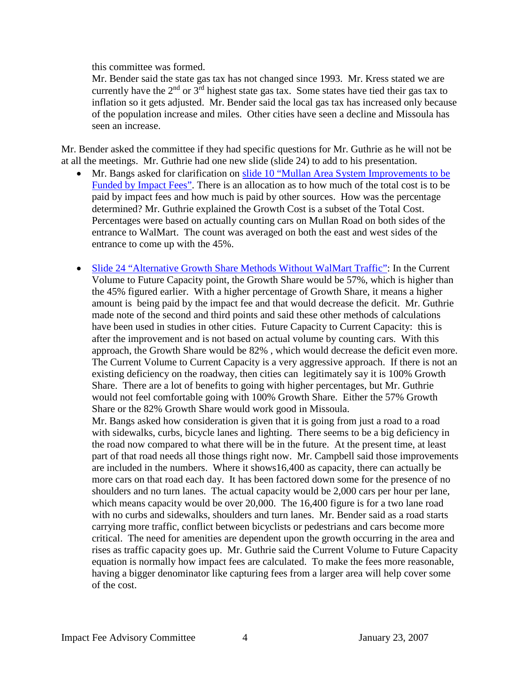this committee was formed.

Mr. Bender said the state gas tax has not changed since 1993. Mr. Kress stated we are currently have the  $2<sup>nd</sup>$  or  $3<sup>rd</sup>$  highest state gas tax. Some states have tied their gas tax to inflation so it gets adjusted. Mr. Bender said the local gas tax has increased only because of the population increase and miles. Other cities have seen a decline and Missoula has seen an increase.

Mr. Bender asked the committee if they had specific questions for Mr. Guthrie as he will not be at all the meetings. Mr. Guthrie had one new slide (slide 24) to add to his presentation.

- Mr. Bangs asked for clarification on slide 10 ["Mullan Area System Improvements to be](ftp://www.ci.missoula.mt.us/Documents/Mayor/IFAC/2007/IFACSlide10.pdf)  [Funded by Impact Fees".](ftp://www.ci.missoula.mt.us/Documents/Mayor/IFAC/2007/IFACSlide10.pdf) There is an allocation as to how much of the total cost is to be paid by impact fees and how much is paid by other sources. How was the percentage determined? Mr. Guthrie explained the Growth Cost is a subset of the Total Cost. Percentages were based on actually counting cars on Mullan Road on both sides of the entrance to WalMart. The count was averaged on both the east and west sides of the entrance to come up with the 45%.
- Slide 24 ["Alternative Growth Share Methods Without WalMart Traffic":](ftp://www.ci.missoula.mt.us/Documents/Mayor/IFAC/2007/IFACSlide24.pdf) In the Current Volume to Future Capacity point, the Growth Share would be 57%, which is higher than the 45% figured earlier. With a higher percentage of Growth Share, it means a higher amount is being paid by the impact fee and that would decrease the deficit. Mr. Guthrie made note of the second and third points and said these other methods of calculations have been used in studies in other cities. Future Capacity to Current Capacity: this is after the improvement and is not based on actual volume by counting cars. With this approach, the Growth Share would be 82% , which would decrease the deficit even more. The Current Volume to Current Capacity is a very aggressive approach. If there is not an existing deficiency on the roadway, then cities can legitimately say it is 100% Growth Share. There are a lot of benefits to going with higher percentages, but Mr. Guthrie would not feel comfortable going with 100% Growth Share. Either the 57% Growth Share or the 82% Growth Share would work good in Missoula.

Mr. Bangs asked how consideration is given that it is going from just a road to a road with sidewalks, curbs, bicycle lanes and lighting. There seems to be a big deficiency in the road now compared to what there will be in the future. At the present time, at least part of that road needs all those things right now. Mr. Campbell said those improvements are included in the numbers. Where it shows16,400 as capacity, there can actually be more cars on that road each day. It has been factored down some for the presence of no shoulders and no turn lanes. The actual capacity would be 2,000 cars per hour per lane, which means capacity would be over 20,000. The 16,400 figure is for a two lane road with no curbs and sidewalks, shoulders and turn lanes. Mr. Bender said as a road starts carrying more traffic, conflict between bicyclists or pedestrians and cars become more critical. The need for amenities are dependent upon the growth occurring in the area and rises as traffic capacity goes up. Mr. Guthrie said the Current Volume to Future Capacity equation is normally how impact fees are calculated. To make the fees more reasonable, having a bigger denominator like capturing fees from a larger area will help cover some of the cost.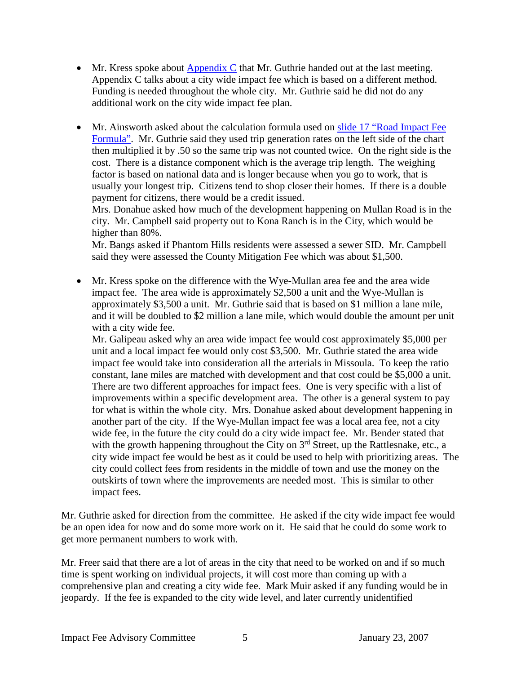- Mr. Kress spoke about  $\Delta$ ppendix C that Mr. Guthrie handed out at the last meeting. Appendix C talks about a city wide impact fee which is based on a different method. Funding is needed throughout the whole city. Mr. Guthrie said he did not do any additional work on the city wide impact fee plan.
- Mr. Ainsworth asked about the calculation formula used on slide 17 "Road Impact Fee [Formula".](ftp://www.ci.missoula.mt.us/Documents/Mayor/IFAC/2007/IFACSlide17.pdf) Mr. Guthrie said they used trip generation rates on the left side of the chart then multiplied it by .50 so the same trip was not counted twice. On the right side is the cost. There is a distance component which is the average trip length. The weighing factor is based on national data and is longer because when you go to work, that is usually your longest trip. Citizens tend to shop closer their homes. If there is a double payment for citizens, there would be a credit issued.

Mrs. Donahue asked how much of the development happening on Mullan Road is in the city. Mr. Campbell said property out to Kona Ranch is in the City, which would be higher than 80%.

Mr. Bangs asked if Phantom Hills residents were assessed a sewer SID. Mr. Campbell said they were assessed the County Mitigation Fee which was about \$1,500.

• Mr. Kress spoke on the difference with the Wye-Mullan area fee and the area wide impact fee. The area wide is approximately \$2,500 a unit and the Wye-Mullan is approximately \$3,500 a unit. Mr. Guthrie said that is based on \$1 million a lane mile, and it will be doubled to \$2 million a lane mile, which would double the amount per unit with a city wide fee.

Mr. Galipeau asked why an area wide impact fee would cost approximately \$5,000 per unit and a local impact fee would only cost \$3,500. Mr. Guthrie stated the area wide impact fee would take into consideration all the arterials in Missoula. To keep the ratio constant, lane miles are matched with development and that cost could be \$5,000 a unit. There are two different approaches for impact fees. One is very specific with a list of improvements within a specific development area. The other is a general system to pay for what is within the whole city. Mrs. Donahue asked about development happening in another part of the city. If the Wye-Mullan impact fee was a local area fee, not a city wide fee, in the future the city could do a city wide impact fee. Mr. Bender stated that with the growth happening throughout the City on  $3<sup>rd</sup>$  Street, up the Rattlesnake, etc., a city wide impact fee would be best as it could be used to help with prioritizing areas. The city could collect fees from residents in the middle of town and use the money on the outskirts of town where the improvements are needed most. This is similar to other impact fees.

Mr. Guthrie asked for direction from the committee. He asked if the city wide impact fee would be an open idea for now and do some more work on it. He said that he could do some work to get more permanent numbers to work with.

Mr. Freer said that there are a lot of areas in the city that need to be worked on and if so much time is spent working on individual projects, it will cost more than coming up with a comprehensive plan and creating a city wide fee. Mark Muir asked if any funding would be in jeopardy. If the fee is expanded to the city wide level, and later currently unidentified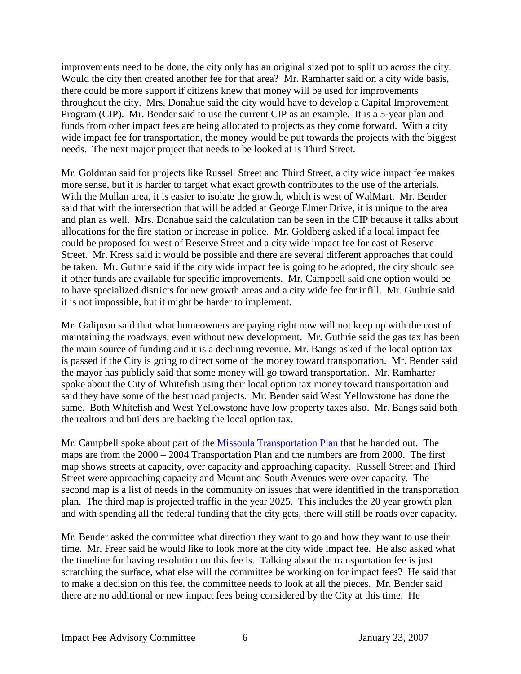improvements need to be done, the city only has an original sized pot to split up across the city. Would the city then created another fee for that area? Mr. Ramharter said on a city wide basis, there could be more support if citizens knew that money will be used for improvements throughout the city. Mrs. Donahue said the city would have to develop a Capital Improvement Program (CIP). Mr. Bender said to use the current CIP as an example. It is a 5-year plan and funds from other impact fees are being allocated to projects as they come forward. With a city wide impact fee for transportation, the money would be put towards the projects with the biggest needs. The next major project that needs to be looked at is Third Street.

Mr. Goldman said for projects like Russell Street and Third Street, a city wide impact fee makes more sense, but it is harder to target what exact growth contributes to the use of the arterials. With the Mullan area, it is easier to isolate the growth, which is west of WalMart. Mr. Bender said that with the intersection that will be added at George Elmer Drive, it is unique to the area and plan as well. Mrs. Donahue said the calculation can be seen in the CIP because it talks about allocations for the fire station or increase in police. Mr. Goldberg asked if a local impact fee could be proposed for west of Reserve Street and a city wide impact fee for east of Reserve Street. Mr. Kress said it would be possible and there are several different approaches that could be taken. Mr. Guthrie said if the city wide impact fee is going to be adopted, the city should see if other funds are available for specific improvements. Mr. Campbell said one option would be to have specialized districts for new growth areas and a city wide fee for infill. Mr. Guthrie said it is not impossible, but it might be harder to implement.

Mr. Galipeau said that what homeowners are paying right now will not keep up with the cost of maintaining the roadways, even without new development. Mr. Guthrie said the gas tax has been the main source of funding and it is a declining revenue. Mr. Bangs asked if the local option tax is passed if the City is going to direct some of the money toward transportation. Mr. Bender said the mayor has publicly said that some money will go toward transportation. Mr. Ramharter spoke about the City of Whitefish using their local option tax money toward transportation and said they have some of the best road projects. Mr. Bender said West Yellowstone has done the same. Both Whitefish and West Yellowstone have low property taxes also. Mr. Bangs said both the realtors and builders are backing the local option tax.

Mr. Campbell spoke about part of the [Missoula Transportation Plan](ftp://www.ci.missoula.mt.us/Documents/Mayor/IFAC/2007/2000MslaTransPlan070123.pdf) that he handed out. The maps are from the 2000 – 2004 Transportation Plan and the numbers are from 2000. The first map shows streets at capacity, over capacity and approaching capacity. Russell Street and Third Street were approaching capacity and Mount and South Avenues were over capacity. The second map is a list of needs in the community on issues that were identified in the transportation plan. The third map is projected traffic in the year 2025. This includes the 20 year growth plan and with spending all the federal funding that the city gets, there will still be roads over capacity.

Mr. Bender asked the committee what direction they want to go and how they want to use their time. Mr. Freer said he would like to look more at the city wide impact fee. He also asked what the timeline for having resolution on this fee is. Talking about the transportation fee is just scratching the surface, what else will the committee be working on for impact fees? He said that to make a decision on this fee, the committee needs to look at all the pieces. Mr. Bender said there are no additional or new impact fees being considered by the City at this time. He